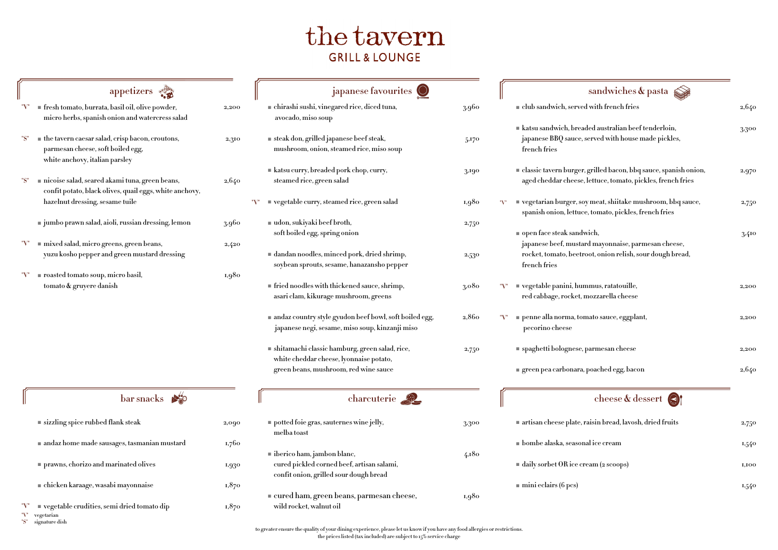|                   | bar snacks                                                                 |       |
|-------------------|----------------------------------------------------------------------------|-------|
|                   | sizzling spice rubbed flank steak                                          | 2,090 |
|                   | andaz home made sausages, tasmanian mustard                                | 1,760 |
|                   | <b>Performal</b> prawns, chorizo and marinated olives                      | 1,930 |
|                   | chicken karaage, wasabi mayonnaise                                         | 1,870 |
| "V"<br>"V"<br>"S" | vegetable crudities, semi dried tomato dip<br>vegetarian<br>signature dish | 1,870 |

# the tavern **GRILL & LOUNGE**

| japanese favourites                                                                                                               |                   | sandwiches & pasta                                                                                                                              |       |
|-----------------------------------------------------------------------------------------------------------------------------------|-------------------|-------------------------------------------------------------------------------------------------------------------------------------------------|-------|
| ■ chirashi sushi, vinegared rice, diced tuna,<br>avocado, miso soup                                                               | 3.960             | I club sandwich, served with french fries                                                                                                       | 2,640 |
| steak don, grilled japanese beef steak,<br>mushroom, onion, steamed rice, miso soup                                               | 5,170             | katsu sandwich, breaded australian beef tenderloin,<br>japanese BBQ sauce, served with house made pickles,<br>french fries                      | 3,300 |
| $\blacksquare$ katsu curry, breaded pork chop, curry,<br>steamed rice, green salad                                                | 3,190             | <b>Example 1</b> classic tavern burger, grilled bacon, bbq sauce, spanish onion,<br>aged cheddar cheese, lettuce, tomato, pickles, french fries | 2,970 |
| <b>vegetable curry, steamed rice, green salad</b>                                                                                 | 1,980             | vegetarian burger, soy meat, shiitake mushroom, bbq sauce,<br>spanish onion, lettuce, tomato, pickles, french fries                             | 2,750 |
| $\blacksquare$ udon, sukiyaki beef broth,<br>soft boiled egg, spring onion                                                        | 2,750             | open face steak sandwich,<br>japanese beef, mustard mayonnaise, parmesan cheese,                                                                | 3,410 |
| $\blacksquare$ dandan noodles, minced pork, dried shrimp,<br>soybean sprouts, sesame, hanazansho pepper                           | 2,530             | rocket, tomato, beetroot, onion relish, sour dough bread,<br>french fries                                                                       |       |
| $\blacksquare$ fried noodles with thickened sauce, shrimp,<br>asari clam, kikurage mushroom, greens                               | 3,080             | vegetable panini, hummus, ratatouille,<br>red cabbage, rocket, mozzarella cheese                                                                | 2,200 |
| andaz country style gyudon beef bowl, soft boiled egg,<br>japanese negi, sesame, miso soup, kinzanji miso                         | 2,860             | penne alla norma, tomato sauce, eggplant,<br>pecorino cheese                                                                                    | 2,200 |
| shitamachi classic hamburg, green salad, rice,<br>white cheddar cheese, lyonnaise potato,                                         | 2,750             | <b>Example:</b> spaghetti bolognese, parmesan cheese                                                                                            | 2,200 |
| green beans, mushroom, red wine sauce                                                                                             |                   | green pea carbonara, poached egg, bacon                                                                                                         | 2,640 |
| charcuterie 2                                                                                                                     |                   | cheese & dessert                                                                                                                                |       |
| potted foie gras, sauternes wine jelly,<br>melba toast                                                                            | 3,300             | artisan cheese plate, raisin bread, lavosh, dried fruits                                                                                        | 2,750 |
|                                                                                                                                   |                   | <b>If</b> bombe alaska, seasonal ice cream                                                                                                      | 1,540 |
| $\blacksquare$ iberico ham, jambon blanc,<br>cured pickled corned beef, artisan salami,<br>confit onion, grilled sour dough bread | 4,180             | daily sorbet OR ice cream (2 scoops)                                                                                                            | 1,100 |
| r cured ham oreen heans narmesan cheese                                                                                           | $\overline{1080}$ | $\blacksquare$ mini eclairs (6 pcs)                                                                                                             | 1,540 |

| appetizers                                                                                                                            |           | japanese favourites                                                                                       |       | sandwiches & pasta                                                                                                                                                                                                                       |       |
|---------------------------------------------------------------------------------------------------------------------------------------|-----------|-----------------------------------------------------------------------------------------------------------|-------|------------------------------------------------------------------------------------------------------------------------------------------------------------------------------------------------------------------------------------------|-------|
| <b>fiesh tomato, burrata, basil oil, olive powder,</b><br>micro herbs, spanish onion and watercress salad                             | $2{,}200$ | chirashi sushi, vinegared rice, diced tuna,<br>avocado, miso soup                                         | 3.960 | $\blacksquare$ club sandwich, served with french fries                                                                                                                                                                                   | 2,640 |
| $\blacksquare$ the tavern caesar salad, crisp bacon, croutons,<br>parmesan cheese, soft boiled egg,<br>white anchovy, italian parsley | 2,310     | ■ steak don, grilled japanese beef steak,<br>mushroom, onion, steamed rice, miso soup                     | 5,170 | katsu sandwich, breaded australian beef tenderloin,<br>japanese BBQ sauce, served with house made pickles,<br>french fries                                                                                                               | 3,300 |
| nicoise salad, seared akami tuna, green beans,<br>confit potato, black olives, quail eggs, white anchovy,                             | 2,640     | katsu curry, breaded pork chop, curry,<br>steamed rice, green salad                                       | 3,190 | <b>Expansished Expansish Servery Servery Arish Servery Arish Servery Arish Servery Arish Servery Arish Servery Arish Servery Arish Servery Arish Servery Arish Onion,</b><br>aged cheddar cheese, lettuce, tomato, pickles, french fries | 2,970 |
| hazelnut dressing, sesame tuile                                                                                                       |           | "V" vegetable curry, steamed rice, green salad                                                            | 1,980 | ■ vegetarian burger, soy meat, shiitake mushroom, bbq sauce,<br>spanish onion, lettuce, tomato, pickles, french fries                                                                                                                    | 2,750 |
| ■ jumbo prawn salad, aioli, russian dressing, lemon                                                                                   | 3.960     | $\blacksquare$ udon, sukiyaki beef broth,<br>soft boiled egg, spring onion                                | 2,750 | open face steak sandwich,                                                                                                                                                                                                                | 3,410 |
| $\blacksquare$ mixed salad, micro greens, green beans,<br>yuzu kosho pepper and green mustard dressing                                | 2,420     | $\blacksquare$ dandan noodles, minced pork, dried shrimp,<br>soybean sprouts, sesame, hanazansho pepper   | 2,530 | japanese beef, mustard mayonnaise, parmesan cheese,<br>rocket, tomato, beetroot, onion relish, sour dough bread,<br>french fries                                                                                                         |       |
| $\blacksquare$ roasted tomato soup, micro basil,<br>tomato <b>&amp;</b> gruyere danish                                                | 1,980     | fried noodles with thickened sauce, shrimp,<br>asari clam, kikurage mushroom, greens                      | 3,080 | vegetable panini, hummus, ratatouille,<br>red cabbage, rocket, mozzarella cheese                                                                                                                                                         | 2,200 |
|                                                                                                                                       |           | andaz country style gyudon beef bowl, soft boiled egg,<br>japanese negi, sesame, miso soup, kinzanji miso | 2,860 | penne alla norma, tomato sauce, eggplant,<br>pecorino cheese                                                                                                                                                                             | 2,200 |
|                                                                                                                                       |           | shitamachi classic hamburg, green salad, rice,<br>white cheddar cheese, lyonnaise potato,                 | 2,750 | ■ spaghetti bolognese, parmesan cheese                                                                                                                                                                                                   | 2,200 |
|                                                                                                                                       |           | green beans, mushroom, red wine sauce                                                                     |       | $\blacksquare$ green pea carbonara, poached egg, bacon                                                                                                                                                                                   | 2,640 |
| bar snacks $\mathcal{L}$                                                                                                              |           | charcuterie 2                                                                                             |       | cheese & dessert                                                                                                                                                                                                                         |       |
| sizzling spice rubbed flank steak                                                                                                     | 2,090     | potted foie gras, sauternes wine jelly,<br>melba toast                                                    | 3,300 | artisan cheese plate, raisin bread, lavosh, dried fruits                                                                                                                                                                                 | 2,750 |
| andaz home made sausages, tasmanian mustard                                                                                           | 1,760     | lacktriangleright is been identically jump on blanc,                                                      | 4,180 | <b>If</b> bombe alaska, seasonal ice cream                                                                                                                                                                                               | 1,540 |
| <b>Performance Internal Property SET PERIODE SETA</b>                                                                                 | 1,930     | cured pickled corned beef, artisan salami,<br>confit onion, grilled sour dough bread                      |       | daily sorbet OR ice cream (2 scoops)                                                                                                                                                                                                     | 1,100 |
| $\blacksquare$ chicken karaage, wasabi mayonnaise                                                                                     | 1,870     | $\blacksquare$ cured ham, green beans, parmesan cheese,                                                   | 1,980 | $\blacksquare$ mini eclairs (6 pcs)                                                                                                                                                                                                      | 1,540 |
| "V" vegetable crudities, semi dried tomato dip<br>$\mathbb{T}$ <sup>"</sup> $V$ " veretarian                                          | 1,870     | wild rocket, walnut oil                                                                                   |       |                                                                                                                                                                                                                                          |       |